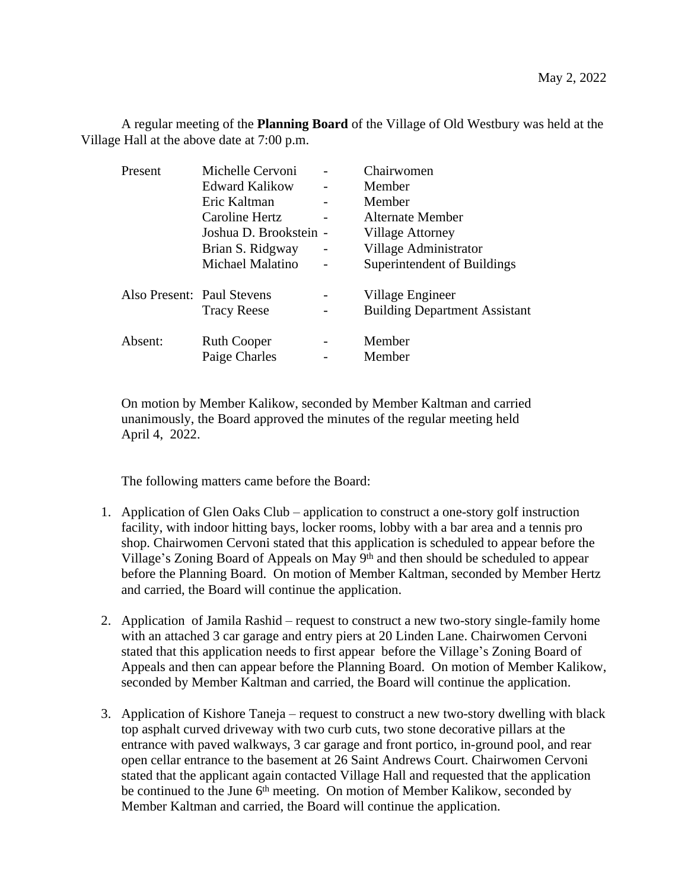A regular meeting of the **Planning Board** of the Village of Old Westbury was held at the Village Hall at the above date at 7:00 p.m.

| Present                    | Michelle Cervoni     | Chairwomen                           |
|----------------------------|----------------------|--------------------------------------|
|                            | Edward Kalikow       | Member                               |
|                            | Eric Kaltman         | Member                               |
|                            | Caroline Hertz       | Alternate Member                     |
|                            | Joshua D. Brookstein | <b>Village Attorney</b>              |
|                            | Brian S. Ridgway     | Village Administrator                |
|                            | Michael Malatino     | Superintendent of Buildings          |
| Also Present: Paul Stevens |                      | Village Engineer                     |
|                            | <b>Tracy Reese</b>   | <b>Building Department Assistant</b> |
| Absent:                    | <b>Ruth Cooper</b>   | Member                               |
|                            | Paige Charles        | Member                               |

On motion by Member Kalikow, seconded by Member Kaltman and carried unanimously, the Board approved the minutes of the regular meeting held April 4, 2022.

The following matters came before the Board:

- 1. Application of Glen Oaks Club application to construct a one-story golf instruction facility, with indoor hitting bays, locker rooms, lobby with a bar area and a tennis pro shop. Chairwomen Cervoni stated that this application is scheduled to appear before the Village's Zoning Board of Appeals on May 9<sup>th</sup> and then should be scheduled to appear before the Planning Board. On motion of Member Kaltman, seconded by Member Hertz and carried, the Board will continue the application.
- 2. Application of Jamila Rashid request to construct a new two-story single-family home with an attached 3 car garage and entry piers at 20 Linden Lane. Chairwomen Cervoni stated that this application needs to first appear before the Village's Zoning Board of Appeals and then can appear before the Planning Board. On motion of Member Kalikow, seconded by Member Kaltman and carried, the Board will continue the application.
- 3. Application of Kishore Taneja request to construct a new two-story dwelling with black top asphalt curved driveway with two curb cuts, two stone decorative pillars at the entrance with paved walkways, 3 car garage and front portico, in-ground pool, and rear open cellar entrance to the basement at 26 Saint Andrews Court. Chairwomen Cervoni stated that the applicant again contacted Village Hall and requested that the application be continued to the June  $6<sup>th</sup>$  meeting. On motion of Member Kalikow, seconded by Member Kaltman and carried, the Board will continue the application.